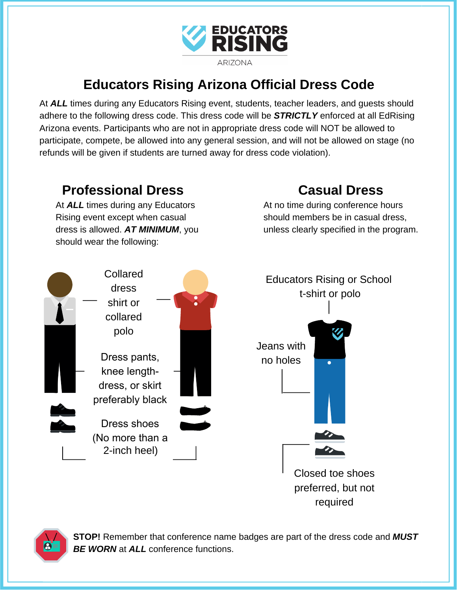

## **Educators Rising Arizona Official Dress Code**

At *ALL* times during any Educators Rising event, students, teacher leaders, and guests should adhere to the following dress code. This dress code will be *STRICTLY* enforced at all EdRising Arizona events. Participants who are not in appropriate dress code will NOT be allowed to participate, compete, be allowed into any general session, and will not be allowed on stage (no refunds will be given if students are turned away for dress code violation).





**STOP!** Remember that conference name badges are part of the dress code and *MUST BE WORN* at *ALL* conference functions.